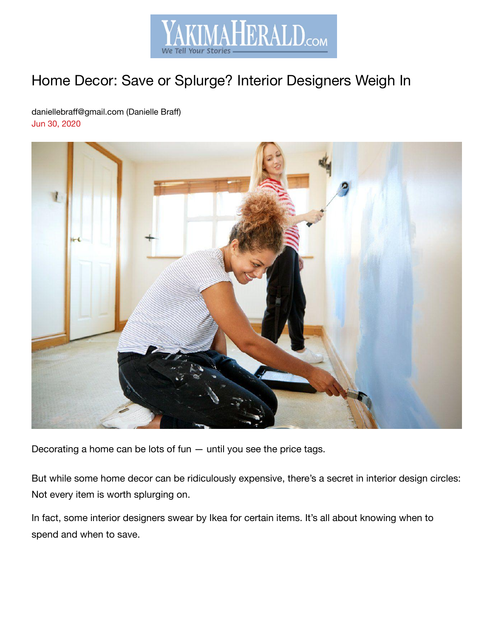

# Home Decor: Save or Splurge? Interior Designers Weigh In

daniellebraff@gmail.com (Danielle Braff) Jun 30, 2020



Decorating a home can be lots of fun — until you see the price tags.

But while some home decor can be ridiculously expensive, there's a secret in interior design circles: Not every item is worth splurging on.

In fact, some interior designers swear by Ikea for certain items. It's all about knowing when to spend and when to save.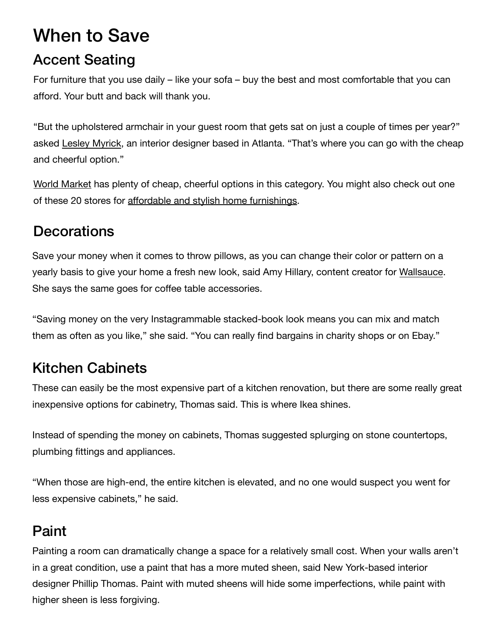# When to Save

#### Accent Seating

For furniture that you use daily – like your sofa – buy the best and most comfortable that you can afford. Your butt and back will thank you.

"But the upholstered armchair in your guest room that gets sat on just a couple of times per year?" asked [Lesley Myrick,](https://lesleymyrick.com/) an interior designer based in Atlanta. "That's where you can go with the cheap and cheerful option."

[World Market](https://www.worldmarket.com/) has plenty of cheap, cheerful options in this category. You might also check out one of these 20 stores for [affordable and stylish home furnishings](https://www.thepennyhoarder.com/home-buying/cheap-home-decor-stores/?aff_id=295&aff_sub3=YakimaHeraldRepublicRssFeed_save-money/home-decor-save-splurge/&utm_source=yakimaherald.com&utm_medium=Referral).

### **Decorations**

Save your money when it comes to throw pillows, as you can change their color or pattern on a yearly basis to give your home a fresh new look, said Amy Hillary, content creator for Wallsauce. She says the same goes for coffee table accessories.

"Saving money on the very Instagrammable stacked-book look means you can mix and match them as often as you like," she said. "You can really find bargains in charity shops or on Ebay."

# Kitchen Cabinets

These can easily be the most expensive part of a kitchen renovation, but there are some really great inexpensive options for cabinetry, Thomas said. This is where Ikea shines.

Instead of spending the money on cabinets, Thomas suggested splurging on stone countertops, plumbing fittings and appliances.

"When those are high-end, the entire kitchen is elevated, and no one would suspect you went for less expensive cabinets," he said.

# Paint

Painting a room can dramatically change a space for a relatively small cost. When your walls aren't in a great condition, use a paint that has a more muted sheen, said New York-based interior designer Phillip Thomas. Paint with muted sheens will hide some imperfections, while paint with higher sheen is less forgiving.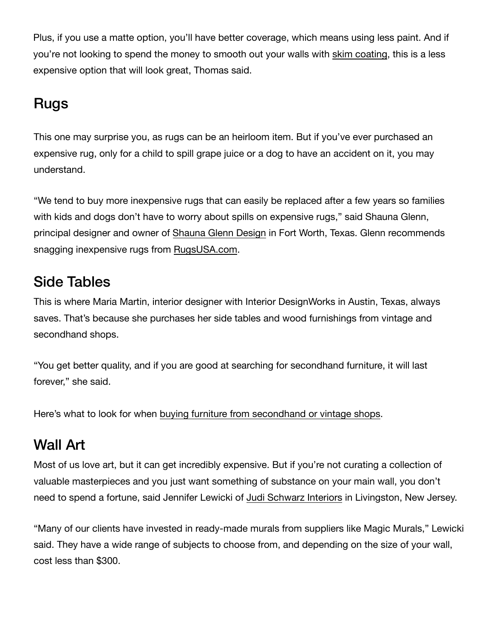Plus, if you use a matte option, you'll have better coverage, which means using less paint. And if you're not looking to spend the money to smooth out your walls with skim coating, this is a less expensive option that will look great, Thomas said.

### Rugs

This one may surprise you, as rugs can be an heirloom item. But if you've ever purchased an expensive rug, only for a child to spill grape juice or a dog to have an accident on it, you may understand.

"We tend to buy more inexpensive rugs that can easily be replaced after a few years so families with kids and dogs don't have to worry about spills on expensive rugs," said Shauna Glenn, principal designer and owner of [Shauna Glenn Design](https://www.shaunaglenndesign.com/) in Fort Worth, Texas. Glenn recommends snagging inexpensive rugs from [RugsUSA.com.](https://www.rugsusa.com/)

#### Side Tables

This is where Maria Martin, interior designer with Interior DesignWorks in Austin, Texas, always saves. That's because she purchases her side tables and wood furnishings from vintage and secondhand shops.

"You get better quality, and if you are good at searching for secondhand furniture, it will last forever," she said.

Here's what to look for when [buying furniture from secondhand or vintage shops.](https://www.thepennyhoarder.com/save-money/used-furniture/?aff_id=295&aff_sub3=YakimaHeraldRepublicRssFeed_save-money/home-decor-save-splurge/&utm_source=yakimaherald.com&utm_medium=Referral)

### Wall Art

Most of us love art, but it can get incredibly expensive. But if you're not curating a collection of valuable masterpieces and you just want something of substance on your main wall, you don't need to spend a fortune, said Jennifer Lewicki of [Judi Schwarz Interiors](https://judischwarzinteriors.com/) in Livingston, New Jersey.

"Many of our clients have invested in ready-made murals from suppliers like Magic Murals," Lewicki said. They have a wide range of subjects to choose from, and depending on the size of your wall, cost less than \$300.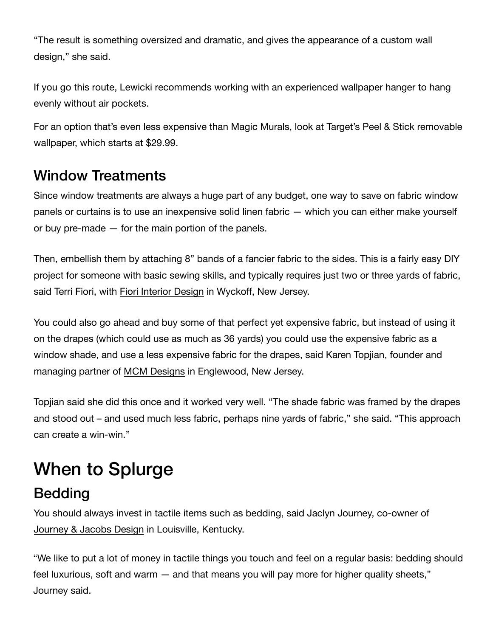"The result is something ov[ersized and dramatic, and gives the appear](https://www.googleadservices.com/pagead/aclk?sa=L&ai=CutTdDdYQX_meIsnbpwfb45ygApv0tYJeqbLit8ILwI23ARABINO5uyRgyba6i8Ck2A-gAZXJ-LYCyAEJ4AIAqAMByAMKqgTrAk_Q_VuJHg7ErmUCJdju8DZFeS4H5z_F2t4Cjai0lfhm4RVdSuTuK_Yd7X5oL6oNct08kMqZKJJp8eZAZdliRP4g8WPz_G_4mtskQ0RuJ6Bo2wM1J-ObuKgDOLACceG8ZFwxavOx1SiXy-NfUiypgFnmRsJQ9_6lFo707wmBS45TGBATcgb4O-LJASMG8yAiaytoJnQkJ66Ep0KdUxZrg902JngsBqg_tUFeVOI4VmKIyrVAQ8vAbVtFrW-5K-LCQAtVC4wz86UzuesuwW6jdUL5ZAG492_ug8020MXcRMqXmKH-SWXKHwtTAEY51rOAKjXg_sjQ3JLOGKp-hMzxovnsPIPiFtohJB4xbZl1hyTiyIDw5OWW4JMGamWyU80CYyO4By5z2J3NyeEZaVeCsI58ZZNV5wuAnLYRoV03dMWpIJQXSDmJA32lUeu9ZVD-gwIyPmdmY2W6weTLqKHFI5iMvXQeAOoRgqKRAMAE7s-bgfEC4AQBoAYugAfTtofJAagHjs4bqAfVyRuoB5PYG6gHugaoB_DZG6gH8tkbqAemvhuoB-zVG6gH89EbqAfs1RuoB5bYG6gHwtob2AcA0ggHCIBhEAEYHbEJZ8YksLats1WACgOKChJodHRwOi8vbmFpbm9hLmNvbS-YCwHICwHgCwGADAHYEwo&ae=1&num=1&cid=CAASEuRo--f9fcrEOEB9So7qsc-XVw&sig=AOD64_2cgFOrWIF9LB65afHNEqvky7wlXw&client=ca-pub-5472357192251791&nb=9&adurl=https://www.nainoa.com/%3Fgclid%3DEAIaIQobChMIudnBserS6gIVye3pCh3bMQckEAEYASAAEgI4ePD_BwE)ance of a custom wall design," she said.

If you go this route, Lewicki recommends working with an experienced wallpaper hanger to hang evenly without air pockets.

For an option that's even less expensive than Magic Murals, look at Target's Peel & Stick removable wallpaper, which starts at \$29[.99.](https://www.googleadservices.com/pagead/aclk?sa=L&ai=CutTdDdYQX_meIsnbpwfb45ygApv0tYJeqbLit8ILwI23ARABINO5uyRgyba6i8Ck2A-gAZXJ-LYCyAEJ4AIAqAMByAMKqgTrAk_Q_VuJHg7ErmUCJdju8DZFeS4H5z_F2t4Cjai0lfhm4RVdSuTuK_Yd7X5oL6oNct08kMqZKJJp8eZAZdliRP4g8WPz_G_4mtskQ0RuJ6Bo2wM1J-ObuKgDOLACceG8ZFwxavOx1SiXy-NfUiypgFnmRsJQ9_6lFo707wmBS45TGBATcgb4O-LJASMG8yAiaytoJnQkJ66Ep0KdUxZrg902JngsBqg_tUFeVOI4VmKIyrVAQ8vAbVtFrW-5K-LCQAtVC4wz86UzuesuwW6jdUL5ZAG492_ug8020MXcRMqXmKH-SWXKHwtTAEY51rOAKjXg_sjQ3JLOGKp-hMzxovnsPIPiFtohJB4xbZl1hyTiyIDw5OWW4JMGamWyU80CYyO4By5z2J3NyeEZaVeCsI58ZZNV5wuAnLYRoV03dMWpIJQXSDmJA32lUeu9ZVD-gwIyPmdmY2W6weTLqKHFI5iMvXQeAOoRgqKRAMAE7s-bgfEC4AQBoAYugAfTtofJAagHjs4bqAfVyRuoB5PYG6gHugaoB_DZG6gH8tkbqAemvhuoB-zVG6gH89EbqAfs1RuoB5bYG6gHwtob2AcA0ggHCIBhEAEYHbEJZ8YksLats1WACgOKChJodHRwOi8vbmFpbm9hLmNvbS-YCwHICwHgCwGADAHYEwo&ae=1&num=1&cid=CAASEuRo--f9fcrEOEB9So7qsc-XVw&sig=AOD64_2cgFOrWIF9LB65afHNEqvky7wlXw&client=ca-pub-5472357192251791&nb=7&adurl=https://www.nainoa.com/%3Fgclid%3DEAIaIQobChMIudnBserS6gIVye3pCh3bMQckEAEYASAAEgI4ePD_BwE)

#### Window Treatments

Since window treatments are always a huge part of any budget, one way to save on fabric window panels or curtains is to use an inexpensive solid linen fabric — which you can either make yourself or buy pre-made — for the main portion of the panels.

Then, embellish them by attaching 8" bands of a fancier fabric to the sides. This is a fairly easy DIY project for someone with basic sewing skills, and typically requires just two or three yards of fabric, said Terri Fiori, with [Fiori Interior Design](https://fioriinteriordesign.com/) in Wyckoff, New Jersey.

You could also go ahead and buy some of that perfect yet expensive fabric, but instead of using it on the drapes (which could use as much as 36 yards) you could use the expensive fabric as a window shade, and use a less expensive fabric for the drapes, said Karen Topjian, founder and managing partner of [MCM Designs](http://www.mcmdesigns.com/contactus.htm) in Englewood, New Jersey.

Topjian said she did this once and it worked very well. "The shade fabric was framed by the drapes and stood out – and used much less fabric, perhaps nine yards of fabric," she said. "This approach can create a win-win."

# When to Splurge

# Bedding

You should always invest in tactile items such as bedding, said Jaclyn Journey, co-owner of [Journey & Jacobs Design](https://www.journeyandjacobs.com/) in Louisville, Kentucky.

"We like to put a lot of money in tactile things you touch and feel on a regular basis: bedding should feel luxurious, soft and warm — and that means you will pay more for higher quality sheets," Journey said.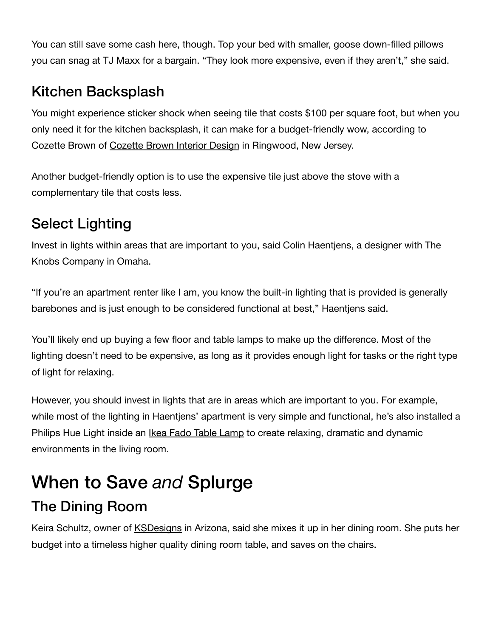You can still save some cash here, though. Top your bed with smaller, goose down-filled pillows you can snag at TJ Maxx for a bargain. "They look more expensive, even if they aren't," she said.

#### Kitchen Backsplash

You might experience sticker shock when seeing tile that costs \$100 per square foot, but when you only need it for the kitchen backsplash, it can make for a budget-friendly wow, according to Cozette Brown of [Cozette Brown Interior Design](http://cozettebrowninteriordesigns.com/) in Ringwood, New Jersey.

Another budget-friendly option is to use the expensive tile just above the stove with a complementary tile that costs less.

# Select Lighting

Invest in lights within areas that are important to you, said Colin Haentjens, a designer with The Knobs Company in Omaha.

"If you're an apartment renter like I am, you know the built-in lighting that is provided is generally barebones and is just enough to be considered functional at best," Haentjens said.

You'll likely end up buying a few floor and table lamps to make up the difference. Most of the lighting doesn't need to be expensive, as long as it provides enough light for tasks or the right type of light for relaxing.

However, you should invest in lights that are in areas which are important to you. For example, while most of the lighting in Haentjens' apartment is very simple and functional, he's also installed a Philips Hue Light inside an *Ikea Fado Table Lamp* to create relaxing, dramatic and dynamic environments in the living room.

# When to Save *and* Splurge

# The Dining Room

Keira Schultz, owner of KSDesigns in Arizona, said she mixes it up in her dining room. She puts her budget into a timeless higher quality dining room table, and saves on the chairs.